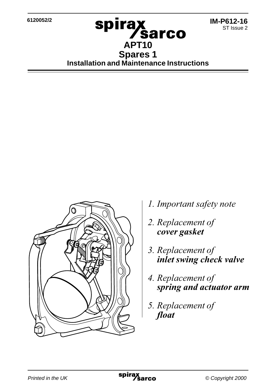### **spirax** *Sarco* **APT10 Spares 1 Installation and Maintenance Instructions**



- *l*. Important safety note
- 2. Replacement of *-*
- 3. Replacement of inlet swing check valve
- 4. Replacement of spring and actuator arm
- 5. Replacement of float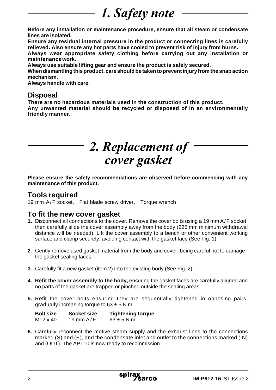

**Before any installation or maintenance procedure, ensure that all steam or condensate lines are isolated.**

**Ensure any residual internal pressure in the product or connecting lines is carefully relieved. Also ensure any hot parts have cooled to prevent risk of injury from burns.**

**Always wear appropriate safety clothing before carrying out any installation or maintenance work.**

**Always use suitable lifting gear and ensure the product is safely secured.**

**When dismantling this product, care should be taken to prevent injury from the snap action mechanism.**

**Always handle with care.**

### **Disposal**

**There are no hazardous materials used in the construction of this product. Any unwanted material should be recycled or disposed of in an environmentally friendly manner.**

### 2. Replacement of cover gasket

**Please ensure the safety recommendations are observed before commencing with any maintenance of this product.**

#### **Tools required**

19 mm A/F socket, Flat blade screw driver, Torque wrench

### **To fit the new cover gasket**

- **1.** Disconnect all connections to the cover. Remove the cover bolts using a 19 mm A/F socket, then carefully slide the cover assembly away from the body (225 mm minimum withdrawal distance will be needed). Lift the cover assembly to a bench or other convenient working surface and clamp securely, avoiding contact with the gasket face (See Fig. 1).
- **2.** Gently remove used gasket material from the body and cover, being careful not to damage the gasket sealing faces.
- **3.** Carefully fit a new gasket (item 2) into the existing body (See Fig. 2).
- **4. Refit the cover assembly to the body,** ensuring the gasket faces are carefully aligned and no parts of the gasket are trapped or pinched outside the sealing areas.
- **5.** Refit the cover bolts ensuring they are sequentially tightened in opposing pairs, gradually increasing torque to  $63 \pm 5$  N m.

| Bolt size | Socket size | <b>Tightening torque</b> |
|-----------|-------------|--------------------------|
| M12 x 40  | 19 mm $A/F$ | $63 \pm 5$ N m           |

**6.** Carefully reconnect the motive steam supply and the exhaust lines to the connections marked (S) and (E), and the condensate inlet and outlet to the connections marked (IN) and (OUT). The APT10 is now ready to recommission.

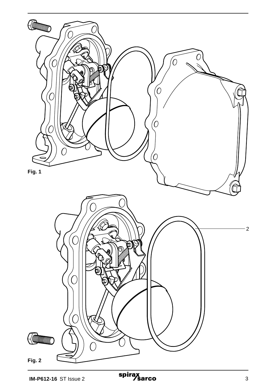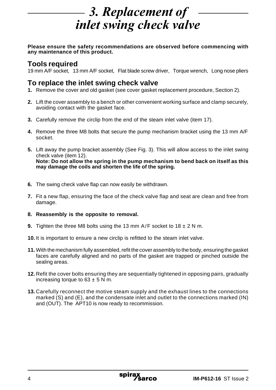## 3. Replacement of inlet swing check valve

**Please ensure the safety recommendations are observed before commencing with any maintenance of this product.**

### **Tools required**

19 mm A/F socket, 13 mm A/F socket, Flat blade screw driver, Torque wrench, Long nose pliers

### **To replace the inlet swing check valve**

- **1.** Remove the cover and old gasket (see cover gasket replacement procedure, Section 2).
- **2.** Lift the cover assembly to a bench or other convenient working surface and clamp securely, avoiding contact with the gasket face.
- **3.** Carefully remove the circlip from the end of the steam inlet valve (item 17).
- **4.** Remove the three M8 bolts that secure the pump mechanism bracket using the 13 mm A/F socket.
- **5.** Lift away the pump bracket assembly (See Fig. 3). This will allow access to the inlet swing check valve (item 12). **Note: Do not allow the spring in the pump mechanism to bend back on itself as this may damage the coils and shorten the life of the spring.**
- **6.** The swing check valve flap can now easily be withdrawn.
- **7.** Fit a new flap, ensuring the face of the check valve flap and seat are clean and free from damage.
- **8. Reassembly is the opposite to removal.**
- **9.** Tighten the three M8 bolts using the 13 mm  $A/F$  socket to 18  $\pm$  2 N m.
- **10.** It is important to ensure a new circlip is refitted to the steam inlet valve.
- **11.** With the mechanism fully assembled, refit the cover assembly to the body, ensuring the gasket faces are carefully aligned and no parts of the gasket are trapped or pinched outside the sealing areas.
- **12.** Refit the cover bolts ensuring they are sequentially tightened in opposing pairs, gradually increasing torque to  $63 \pm 5$  N m.
- **13.** Carefully reconnect the motive steam supply and the exhaust lines to the connections marked (S) and (E), and the condensate inlet and outlet to the connections marked (IN) and (OUT). The APT10 is now ready to recommission.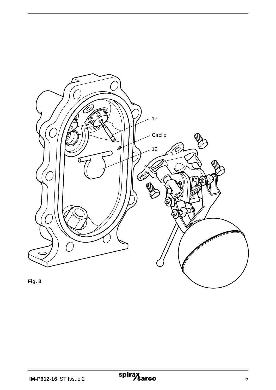

**Fig. 3**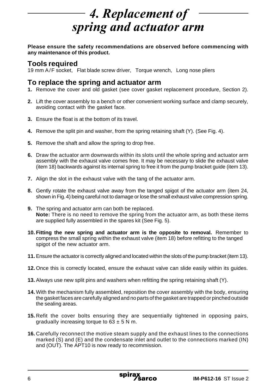## 4. Replacement of

**Please ensure the safety recommendations are observed before commencing with any maintenance of this product.**

#### **Tools required**

19 mm A/F socket, Flat blade screw driver, Torque wrench, Long nose pliers

### **To replace the spring and actuator arm**

- **1.** Remove the cover and old gasket (see cover gasket replacement procedure, Section 2).
- **2.** Lift the cover assembly to a bench or other convenient working surface and clamp securely, avoiding contact with the gasket face.
- **3.** Ensure the float is at the bottom of its travel.
- **4.** Remove the split pin and washer, from the spring retaining shaft (Y). (See Fig. 4).
- **5.** Remove the shaft and allow the spring to drop free.
- **6.** Draw the actuator arm downwards within its slots until the whole spring and actuator arm assembly with the exhaust valve comes free. It may be necessary to slide the exhaust valve (item 18) backwards against its internal spring to free it from the pump bracket guide (item 13).
- **7.** Align the slot in the exhaust valve with the tang of the actuator arm.
- **8.** Gently rotate the exhaust valve away from the tanged spigot of the actuator arm (item 24, shown in Fig. 4) being careful not to damage or lose the small exhaust valve compression spring.
- **9.** The spring and actuator arm can both be replaced. **Note:** There is no need to remove the spring from the actuator arm, as both these items are supplied fully assembled in the spares kit (See Fig. 5).
- **10. Fitting the new spring and actuator arm is the opposite to removal.** Remember to compress the small spring within the exhaust valve (item 18) before refitting to the tanged spigot of the new actuator arm.
- **11.** Ensure the actuator is correctly aligned and located within the slots of the pump bracket (item 13).
- **12.** Once this is correctly located, ensure the exhaust valve can slide easily within its guides.
- **13.** Always use new split pins and washers when refitting the spring retaining shaft (Y).
- **14.** With the mechanism fully assembled, reposition the cover assembly with the body, ensuring the gasket faces are carefully aligned and no parts of the gasket are trapped or pinched outside the sealing areas.
- **15.** Refit the cover bolts ensuring they are sequentially tightened in opposing pairs, gradually increasing torque to  $63 \pm 5$  N m.
- **16.** Carefully reconnect the motive steam supply and the exhaust lines to the connections marked (S) and (E) and the condensate inlet and outlet to the connections marked (IN) and (OUT). The APT10 is now ready to recommission.

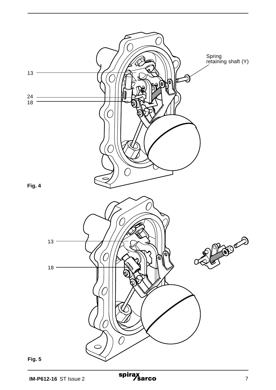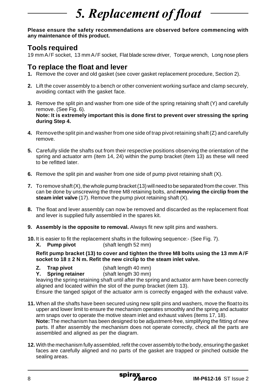# 5. Replacement of float

**Please ensure the safety recommendations are observed before commencing with any maintenance of this product.**

### **Tools required**

19 mm A/F socket, 13 mm A/F socket, Flat blade screw driver, Torque wrench, Long nose pliers

### **To replace the float and lever**

- **1.** Remove the cover and old gasket (see cover gasket replacement procedure, Section 2).
- **2.** Lift the cover assembly to a bench or other convenient working surface and clamp securely, avoiding contact with the gasket face.
- **3.** Remove the split pin and washer from one side of the spring retaining shaft (Y) and carefully remove. (See Fig. 6). **Note: It is extremely important this is done first to prevent over stressing the spring during Step 4.**
- **4.** Remove the split pin and washer from one side of trap pivot retaining shaft (Z) and carefully remove.
- **5.** Carefully slide the shafts out from their respective positions observing the orientation of the spring and actuator arm (item 14, 24) within the pump bracket (item 13) as these will need to be refitted later.
- **6.** Remove the split pin and washer from one side of pump pivot retaining shaft (X).
- **7.** To remove shaft (X), the whole pump bracket (13) will need to be separated from the cover. This can be done by unscrewing the three M8 retaining bolts, and **removing the circlip from the steam inlet valve** (17). Remove the pump pivot retaining shaft (X).
- **8.** The float and lever assembly can now be removed and discarded as the replacement float and lever is supplied fully assembled in the spares kit.
- **9. Assembly is the opposite to removal.** Always fit new split pins and washers.
- **10.** It is easier to fit the replacement shafts in the following sequence:- (See Fig. 7).
	- **X. Pump pivot** (shaft length 52 mm)

#### **Refit pump bracket (13) to cover and tighten the three M8 bolts using the 13 mm A/F socket to 18 ± 2 N m. Refit the new circlip to the steam inlet valve.**

- **Z.** Trap pivot **(shaft length 40 mm)**<br>**Y.** Spring retainer (shaft length 30 mm)
- **Y. Spring retainer** (shaft length 30 mm)

assembled and aligned as per the diagram.

leaving the spring retaining shaft until after the spring and actuator arm have been correctly aligned and located within the slot of the pump bracket (item 13).

Ensure the tanged spigot of the actuator arm is correctly engaged with the exhaust valve.

- **11.** When all the shafts have been secured using new split pins and washers, move the float to its upper and lower limit to ensure the mechanism operates smoothly and the spring and actuator arm snaps over to operate the motive steam inlet and exhaust valves (items 17, 18). **Note:** The mechanism has been designed to be adjustment-free, simplifying the fitting of new parts. If after assembly the mechanism does not operate correctly, check all the parts are
- **12.** With the mechanism fully assembled, refit the cover assembly to the body, ensuring the gasket faces are carefully aligned and no parts of the gasket are trapped or pinched outside the sealing areas.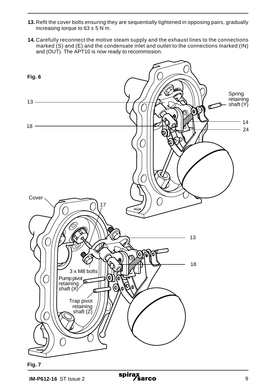- **13.** Refit the cover bolts ensuring they are sequentially tightened in opposing pairs, gradually increasing torque to  $63 \pm 5$  N m.
- **14.** Carefully reconnect the motive steam supply and the exhaust lines to the connections marked (S) and (E) and the condensate inlet and outlet to the connections marked (IN) and (OUT). The APT10 is now ready to recommission.

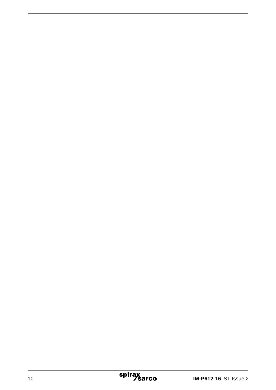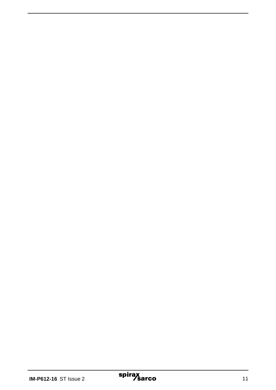